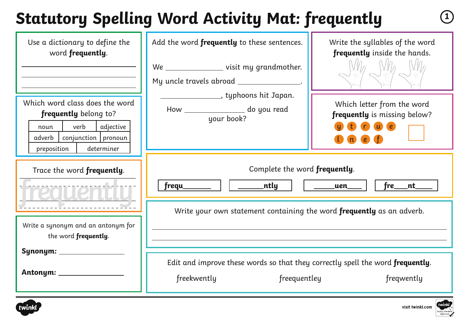# **Statutory Spelling Word Activity Mat: frequently <sup>1</sup>**

| Use a dictionary to define the<br>word frequently.                                                                                                    | Add the word frequently to these sentences.<br>We ___________________ visit my grandmother.<br>My uncle travels abroad _______________. | Write the syllables of the word<br>frequently inside the hands.                         |
|-------------------------------------------------------------------------------------------------------------------------------------------------------|-----------------------------------------------------------------------------------------------------------------------------------------|-----------------------------------------------------------------------------------------|
| Which word class does the word<br>frequently belong to?<br>verb<br>  adjective<br>noun<br>adverb   conjunction   pronoun<br>determiner<br>preposition | <u>________________</u> ___, typhoons hit Japan.<br>How ________________ do you read<br>your book?                                      | Which letter from the word<br>frequently is missing below?<br>$\mathbf{u}$ $\mathbf{e}$ |
| Trace the word frequently.                                                                                                                            | Complete the word frequently.<br>___ntly<br>frequ_<br>$fre$ __nt_<br>uen                                                                |                                                                                         |
| Write a synonym and an antonym for<br>the word frequently.                                                                                            | Write your own statement containing the word frequently as an adverb.                                                                   |                                                                                         |
|                                                                                                                                                       | Edit and improve these words so that they correctly spell the word frequently.<br>freequentley<br>freekwently                           | freqwently                                                                              |



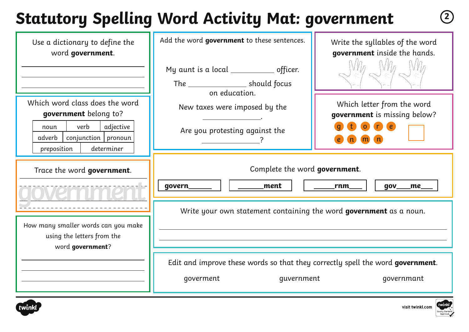## **Statutory Spelling Word Activity Mat: government <sup>2</sup>**

| Use a dictionary to define the<br>word government.                                                                                                   | Add the word government to these sentences.                                                               | Write the syllables of the word<br>government inside the hands.         |
|------------------------------------------------------------------------------------------------------------------------------------------------------|-----------------------------------------------------------------------------------------------------------|-------------------------------------------------------------------------|
|                                                                                                                                                      | My aunt is a local _______________ officer.<br>The ________________________ should focus<br>on education. |                                                                         |
| Which word class does the word<br>government belong to?<br>verb<br>adjective<br>noun<br>conjunction   pronoun<br>adverb<br>determiner<br>preposition | New taxes were imposed by the<br>Are you protesting against the                                           | Which letter from the word<br>government is missing below?<br>$\bullet$ |
| Trace the word government.                                                                                                                           | Complete the word government.<br>ment<br>govern_                                                          | rnm<br>$gov_$<br>_me_                                                   |
| How many smaller words can you make<br>using the letters from the<br>word government?                                                                | Write your own statement containing the word government as a noun.                                        |                                                                         |
|                                                                                                                                                      | Edit and improve these words so that they correctly spell the word government.<br>goverment<br>guvernment | qovernmant                                                              |



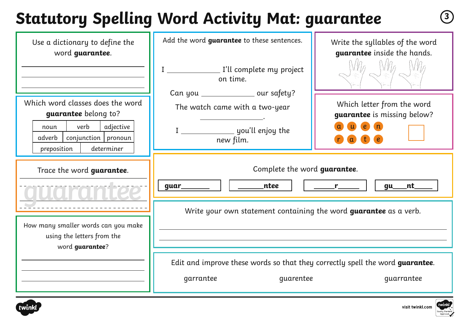## **Statutory Spelling Word Activity Mat: guarantee <sup>3</sup>**

| Use a dictionary to define the<br>word guarantee.                                                                                                     | Add the word guarantee to these sentences.                                                                            | Write the syllables of the word<br>guarantee inside the hands.                                                                                                                                                                            |
|-------------------------------------------------------------------------------------------------------------------------------------------------------|-----------------------------------------------------------------------------------------------------------------------|-------------------------------------------------------------------------------------------------------------------------------------------------------------------------------------------------------------------------------------------|
| Which word classes does the word<br>guarantee belong to?<br>verb<br>adjective<br>noun<br>$conjunction$ pronoun<br>adverb<br>preposition<br>determiner | on time.<br>Can you ________________ our safety?<br>The watch came with a two-year<br>new film.                       | Which letter from the word<br>guarantee is missing below?<br>$\epsilon$                                                                                                                                                                   |
| Trace the word guarantee.<br>How many smaller words can you make<br>using the letters from the<br>word guarantee?                                     | Complete the word guarantee.<br><b>ntee</b><br>guar_______                                                            | gu___nt_<br>$r$ and $r$ and $r$ and $r$ and $r$ and $r$ and $r$ and $r$ and $r$ and $r$ and $r$ and $r$ and $r$ and $r$ and $r$ and $r$ and $r$ and $r$ and $r$ and $r$ and $r$ and $r$ and $r$ and $r$ and $r$ and $r$ and $r$ and $r$ a |
|                                                                                                                                                       | Write your own statement containing the word guarantee as a verb.                                                     |                                                                                                                                                                                                                                           |
|                                                                                                                                                       | Edit and improve these words so that they correctly spell the word guarantee.<br>garrantee<br>guarentee<br>guarrantee |                                                                                                                                                                                                                                           |



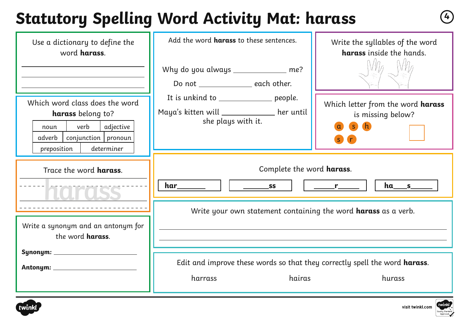#### **Statutory Spelling Word Activity Mat: harass <sup>4</sup>**

| Use a dictionary to define the<br>word harass.                                                                                                   | Add the word harass to these sentences.                                                                      | Write the syllables of the word<br>harass inside the hands. |
|--------------------------------------------------------------------------------------------------------------------------------------------------|--------------------------------------------------------------------------------------------------------------|-------------------------------------------------------------|
|                                                                                                                                                  | Why do you always _____________ me?<br>Do not _________________ each other.                                  |                                                             |
| Which word class does the word<br>harass belong to?<br>verb<br>adjective<br>noun<br>$conjunction$ pronoun<br>adverb<br>determiner<br>preposition | It is unkind to __________________ people.<br>Maya's kitten will ___________ her until<br>she plays with it. | Which letter from the word harass<br>is missing below?<br>S |
| Trace the word harass.                                                                                                                           | Complete the word harass.<br><b>SS</b><br>$r$ and $r$ and $r$ and $r$ and $r$ and $r$ and $r$ and $r$        |                                                             |
| Write a synonym and an antonym for                                                                                                               | Write your own statement containing the word <b>harass</b> as a verb.                                        |                                                             |
| the word <b>harass</b> .                                                                                                                         |                                                                                                              |                                                             |
|                                                                                                                                                  | Edit and improve these words so that they correctly spell the word harass.<br>harrass<br>hairas<br>hurass    |                                                             |